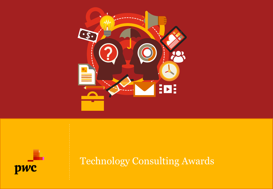



Technology Consulting Awards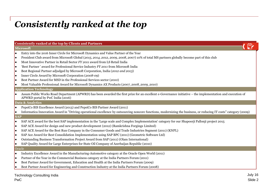## *Consistently ranked at the top*

| <b>Consistently ranked at the top by Clients and Partners</b>                                                                                                                                  |
|------------------------------------------------------------------------------------------------------------------------------------------------------------------------------------------------|
| Microsoft                                                                                                                                                                                      |
| Entry into the 2016 Inner Circle for Microsoft Dynamics and Value Partner of the Year<br>l o                                                                                                   |
| President Club award from Microsoft Global (2015, 2014, 2012, 2009, 2008, 2007) 10% of total MS partners globally become part of this club<br>lo                                               |
| Most Innovative Partner in Retail Sector FY 2011 award from LS Retail India<br>lo                                                                                                              |
| 'Best Partner' award for Professional Service Industry FY 2011 from Microsoft India<br>$\bullet$                                                                                               |
| Best Regional Partner adjudged by Microsoft Corporation, India (2012 and 2013)<br>lo                                                                                                           |
| Inner Circle Award by Microsoft Corporation (2008-09)<br>lo                                                                                                                                    |
| Best Partner Award for MSD in the Professional Services sector (2010)<br>lo                                                                                                                    |
| Most Valuable Professional Award for Microsoft Dynamics AX Products (2007, 2008, 2009, 2010)<br>lo                                                                                             |
| <b>Application Technology</b>                                                                                                                                                                  |
| Assam Public Works Road Department (APWRD) has been awarded the first prize for an excellent e-Governance initiative – the implementation and execution of<br>APWRD portal by PwC India (2016) |
| Data & Analytics                                                                                                                                                                               |
| PepsiCo BIS Excellence Award (2013) and PepsiCo BIS Partner Award (2011)<br>$\bullet$                                                                                                          |
| Informatica Innovation Award in "Driving operational excellence by outsourcing noncore functions, modernizing the business, or reducing IT costs" category (2009)<br>lo                        |
| <b>SAP</b>                                                                                                                                                                                     |
| SAP ACE award for the best SAP implementation in the 'Large scale and Complex Implementation' category for our Shapoorji Pallonji project 2015<br>$\bullet$                                    |
| SAP ACE Award for design and new product development (2012) (Ramkrishna Forgings Limited)<br>lo                                                                                                |
| SAP ACE Award for the Best Run Company in the Consumer Goods and Trade Industries Segment (2011) (KNPL)<br>$\bullet$                                                                           |
| SAP Ace Award for Best Consolidation Implementation using SAP BPC (2011) (Geometric Software Ltd)<br>lo                                                                                        |
| Outstanding Business Transformation Project Award from SAP (2011) (Olam International)<br>lo                                                                                                   |
| SAP Quality Award for Large Enterprises for State Oil Company of Azerbaijan Republic (2010)                                                                                                    |
| Oracle                                                                                                                                                                                         |
| Industry Excellence Award in the Manufacturing-Automotive category at the Oracle Open World (2011)<br>$\bullet$                                                                                |
| Partner of the Year in the Commercial Business category at the India Partners Forum (2011)<br>lo                                                                                               |
| Best Partner Award for Government, Education and Health at the India Partners Forum (2009)<br>l o                                                                                              |
| Best Partner Award for Engineering and Construction Industry at the India Partners Forum (2008)                                                                                                |